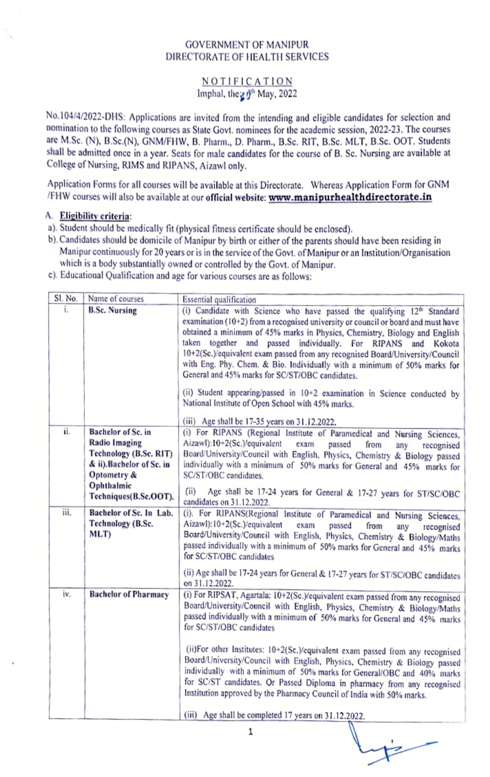## GOVERNMENT OF MANIPUR DIRECTORATE OF HEALTH SERVICES

## NOTIFICATION Imphal, the  $20^{th}$  May, 2022

NO.04/4/2022-DHS: Applications are invited from the intending and cligible candidates for selection and nomination to the tollowing courses as State Govt. nominees for the academic session, 2022-23. The courses are M.Sc. (N), B.Sc.(N). GNM/FHW, B. Pharm., D. Pharm., B.Sc. RIT, B.Sc. MLT, B.Sc. OOT. Students Shall be admitted once in a year. Seats for male candidates for the course of B. Sc. Nursing are available at College of Nursing. RIMS and RIPANS, Aizawl only.

Application Forms for all courses will be available at this Directorate. Whereas Application Form for GNM /FHW courses will also be available at our official website: www.manipurhealthdirectorate.in

## A. Eligibility criteria:

- a). Student should be medically fit (physical fitness cetificate should be enclosed).
- b). Candidates should be domicile of Manipur by birth or either of the parents should have been residing in Manipur continuously for 20 ycars or is in the sevice of the Govt. of Manipur or an Institution/Organisation which is a body substantially owned or controlled by the Govt. of Manipur.
- c). Educational Qualification and age for various courses are as follows:

| SL No. | Name of courses                                                                                                                  | <b>Essential qualification</b>                                                                                                                                                                                                                                                                                                                                                                                                                                                                                                                                                                                 |
|--------|----------------------------------------------------------------------------------------------------------------------------------|----------------------------------------------------------------------------------------------------------------------------------------------------------------------------------------------------------------------------------------------------------------------------------------------------------------------------------------------------------------------------------------------------------------------------------------------------------------------------------------------------------------------------------------------------------------------------------------------------------------|
| î.     | <b>B.Sc. Nursing</b>                                                                                                             | (i) Candidate with Science who have passed the qualifying 12th Standard<br>examination (10+2) from a recognised university or council or board and must have<br>obtained a minimum of 45% marks in Physics, Chemistry, Biology and English<br>taken together and<br>passed individually. For RIPANS<br>and Kokota<br>10+2(Sc.)/equivalent exam passed from any recognised Board/University/Council<br>with Eng. Phy. Chem. & Bio. Individually with a minimum of 50% marks for<br>General and 45% marks for SC/ST/OBC candidates.<br>(ii) Student appearing/passed in 10+2 examination in Science conducted by |
| ii.    | Bachelor of Sc. in                                                                                                               | National Institute of Open School with 45% marks.<br>(iii) Age shall be 17-35 years on 31.12.2022.<br>(i) For RIPANS (Regional Institute of Paramedical and Nursing Sciences,                                                                                                                                                                                                                                                                                                                                                                                                                                  |
|        | <b>Radio Imaging</b><br>Technology (B.Sc. RIT)<br>& ii).Bachelor of Sc. in<br>Optometry &<br>Ophthalmic<br>Techniques(B.Sc.OOT). | Aizawl):10+2(Sc.)/equivalent<br>exam<br>passed<br>from<br>any<br>recognised<br>Board/University/Council with English, Physics, Chemistry & Biology passed<br>individually with a minimum of 50% marks for General and 45% marks for<br>SC/ST/OBC candidates.                                                                                                                                                                                                                                                                                                                                                   |
|        |                                                                                                                                  | (i)<br>Age shall be 17-24 years for General & 17-27 years for ST/SC/OBC<br>candidates on 31.12.2022.                                                                                                                                                                                                                                                                                                                                                                                                                                                                                                           |
| iii.   | Bachelor of Sc. In Lab.<br>Technology (B.Sc.<br>MLT)                                                                             | (i). For RIPANS(Regional Institute of Paramedical and Nursing Sciences,<br>Aizawl): 10+2(Sc.)/equivalent<br>exam<br>passed<br>from<br>anv<br>recognised<br>Board/University/Council with English, Physics, Chemistry & Biology/Maths<br>passed individually with a minimum of 50% marks for General and 45% marks<br>for SC/ST/OBC candidates                                                                                                                                                                                                                                                                  |
|        |                                                                                                                                  | (ii) Age shall be 17-24 years for General & 17-27 years for ST/SC/OBC candidates<br>on 31.12.2022.                                                                                                                                                                                                                                                                                                                                                                                                                                                                                                             |
| iv.    | <b>Bachelor of Pharmacy</b>                                                                                                      | (i) For RIPSAT, Agartala: 10+2(Sc.)/equivalent exam passed from any recognised<br>Board/University/Council with English, Physics, Chemistry & Biology/Maths<br>passed individually with a minimum of 50% marks for General and 45% marks<br>for SC/ST/OBC candidates                                                                                                                                                                                                                                                                                                                                           |
|        |                                                                                                                                  | (ii)For other Institutes: 10+2(Sc,)/equivalent exam passed from any recognised<br>Board/University/Council with English, Physics, Chemistry & Biology passed<br>individually with a minimum of 50% marks for General/OBC and 40% marks<br>for SC/ST candidates. Or Passed Diploma in pharmacy from any recognised<br>Institution approved by the Pharmacy Council of India with 50% marks.                                                                                                                                                                                                                     |
|        |                                                                                                                                  | (iii) Age shall be completed 17 years on 31.12.2022.                                                                                                                                                                                                                                                                                                                                                                                                                                                                                                                                                           |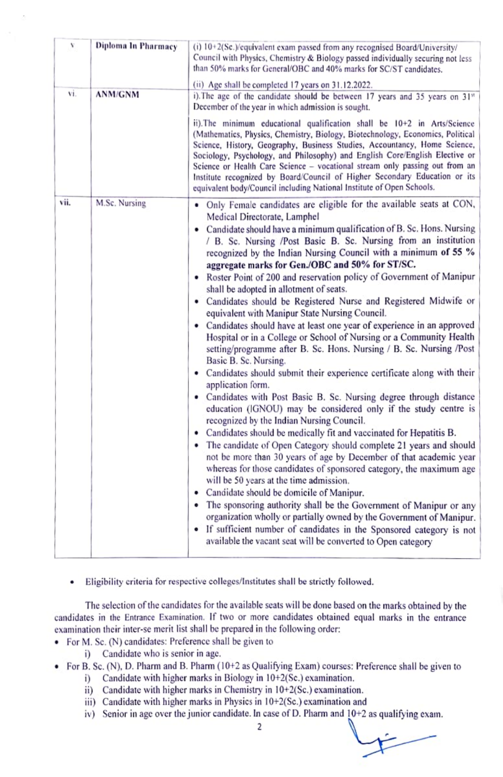| v    | Diploma In Pharmacy | (i) 10+2(Sc.)/equivalent exam passed from any recognised Board/University/<br>Council with Physics, Chemistry & Biology passed individually securing not less<br>than 50% marks for General/OBC and 40% marks for SC/ST candidates.<br>(ii) Age shall be completed 17 years on 31.12.2022.                                                                                                                                                                                                                                                                                                                                                                                                                                                                                                                                                                                                                                                                                                                                                                                                                                                                                                                                                                                                                                                                                                                                                                                                                                                                                                                                                                                                                                                                                                                                                      |
|------|---------------------|-------------------------------------------------------------------------------------------------------------------------------------------------------------------------------------------------------------------------------------------------------------------------------------------------------------------------------------------------------------------------------------------------------------------------------------------------------------------------------------------------------------------------------------------------------------------------------------------------------------------------------------------------------------------------------------------------------------------------------------------------------------------------------------------------------------------------------------------------------------------------------------------------------------------------------------------------------------------------------------------------------------------------------------------------------------------------------------------------------------------------------------------------------------------------------------------------------------------------------------------------------------------------------------------------------------------------------------------------------------------------------------------------------------------------------------------------------------------------------------------------------------------------------------------------------------------------------------------------------------------------------------------------------------------------------------------------------------------------------------------------------------------------------------------------------------------------------------------------|
| vi.  | <b>ANM/GNM</b>      | i). The age of the candidate should be between 17 years and 35 years on 31 <sup>1</sup><br>December of the year in which admission is sought.<br>ii). The minimum educational qualification shall be 10+2 in Arts/Science<br>(Mathematics, Physics, Chemistry, Biology, Biotechnology, Economics, Political<br>Science, History, Geography, Business Studies, Accountancy, Home Science,<br>Sociology, Psychology, and Philosophy) and English Core/English Elective or<br>Science or Health Care Science - vocational stream only passing out from an<br>Institute recognized by Board/Council of Higher Secondary Education or its<br>equivalent body/Council including National Institute of Open Schools.                                                                                                                                                                                                                                                                                                                                                                                                                                                                                                                                                                                                                                                                                                                                                                                                                                                                                                                                                                                                                                                                                                                                   |
| vii. | M.Sc. Nursing       | Only Female candidates are eligible for the available seats at CON,<br>Medical Directorate, Lamphel<br>• Candidate should have a minimum qualification of B. Sc. Hons. Nursing<br>/ B. Sc. Nursing /Post Basic B. Sc. Nursing from an institution<br>recognized by the Indian Nursing Council with a minimum of 55 %<br>aggregate marks for Gen./OBC and 50% for ST/SC.<br>· Roster Point of 200 and reservation policy of Government of Manipur<br>shall be adopted in allotment of seats.<br>• Candidates should be Registered Nurse and Registered Midwife or<br>equivalent with Manipur State Nursing Council.<br>• Candidates should have at least one year of experience in an approved<br>Hospital or in a College or School of Nursing or a Community Health<br>setting/programme after B. Sc. Hons. Nursing / B. Sc. Nursing /Post<br>Basic B. Sc. Nursing.<br>• Candidates should submit their experience certificate along with their<br>application form.<br>• Candidates with Post Basic B. Sc. Nursing degree through distance<br>education (IGNOU) may be considered only if the study centre is<br>recognized by the Indian Nursing Council.<br>• Candidates should be medically fit and vaccinated for Hepatitis B.<br>The candidate of Open Category should complete 21 years and should<br>٠<br>not be more than 30 years of age by December of that academic year<br>whereas for those candidates of sponsored category, the maximum age<br>will be 50 years at the time admission.<br>Candidate should be domicile of Manipur.<br>٠<br>The sponsoring authority shall be the Government of Manipur or any<br>organization wholly or partially owned by the Government of Manipur.<br>• If sufficient number of candidates in the Sponsored category is not<br>available the vacant seat will be converted to Open category |

Eligibility criteria for respective colleges/institutes shall be strictly followed.  $\bullet$ 

The selection of the candidates for the available seats will be done based on the marks obtained by the candidates in the Entrance Examination. If two or more candidates obtained equal marks in the entrance examination their inter-se merit list shall be prepared in the following order:

- For M. Sc. (N) candidates: Preference shall be given to
	- i) Candidate who is senior in age.
- For B. Sc. (N), D. Pharm and B. Pharm (10+2 as Qualitying Exam) courses: Preterence shall be given to
	- i) Candidate with higher marks in Biology in 10+2(Sc.) examination.
	- i) Candidate with higher marks in Chemistry in 10+2(Sc.) examination.
	- ii) Candidate with higher marks in Physics in 10+2(Sc.) examination and
	- iv) Senior in age over the junior candidate. In case of D. Pharm and 10+2 as qualifying exam.